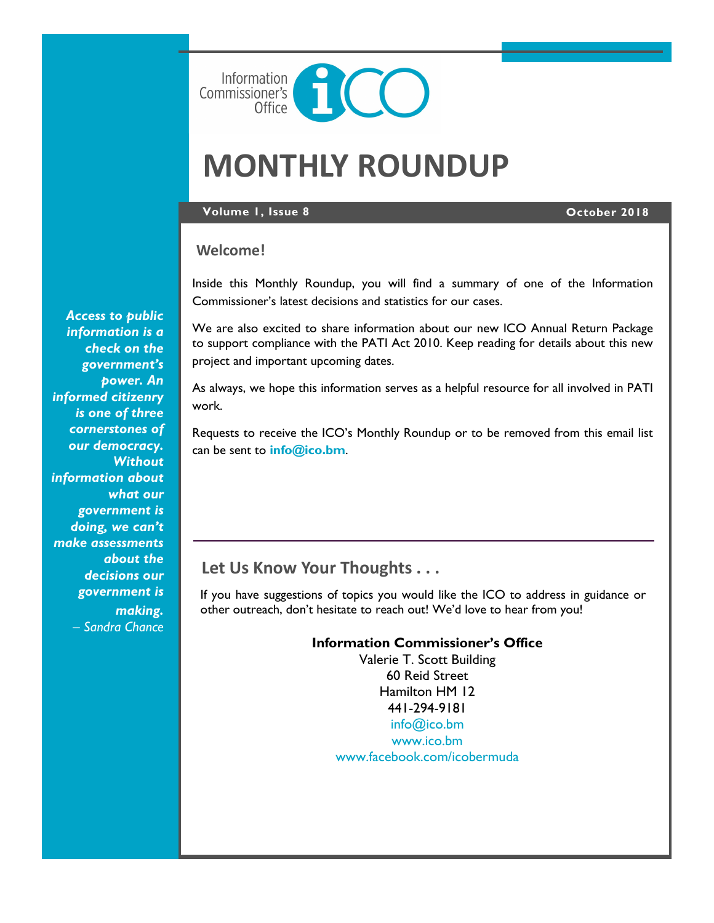

# **MONTHLY ROUNDUP**

#### **Volume 1, Issue 8 October 2018**

## **Welcome!**

Inside this Monthly Roundup, you will find a summary of one of the Information Commissioner's latest decisions and statistics for our cases.

We are also excited to share information about our new ICO Annual Return Package to support compliance with the PATI Act 2010. Keep reading for details about this new project and important upcoming dates.

As always, we hope this information serves as a helpful resource for all involved in PATI work.

Requests to receive the ICO's Monthly Roundup or to be removed from this email list can be sent to **[info@ico.bm](mailto:info@ico.bm)**.

# **Let Us Know Your Thoughts . . .**

If you have suggestions of topics you would like the ICO to address in guidance or other outreach, don't hesitate to reach out! We'd love to hear from you!

> **Information Commissioner's Office** Valerie T. Scott Building 60 Reid Street Hamilton HM 12 441-294-9181 [info@ico.bm](mailto:info@ico.bm) [www.ico.bm](http://www.ico.bm) [www.facebook.com/icobermuda](http://www.facebook.com/icobermuda/ICOFS01S/Folder-Redirection$/gsgutierrez/Documents/Admin)

*Access to public information is a check on the government's power. An informed citizenry is one of three cornerstones of our democracy. Without information about what our government is doing, we can't make assessments about the decisions our government is making.*  – *Sandra Chance*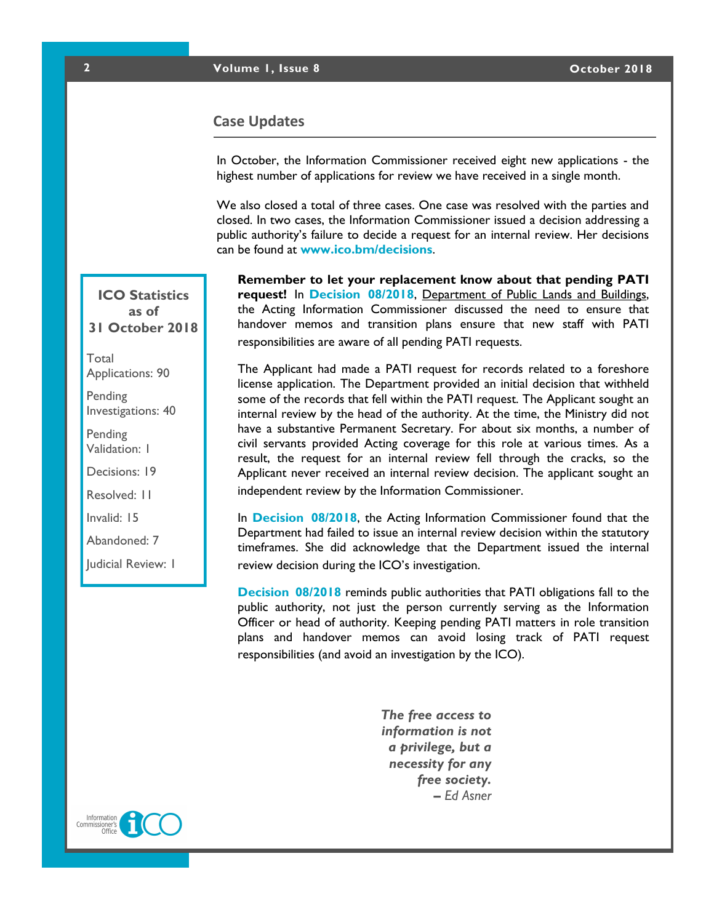### **2 Volume 1, Issue 8 October 2018**

### **Case Updates**

In October, the Information Commissioner received eight new applications - the highest number of applications for review we have received in a single month.

We also closed a total of three cases. One case was resolved with the parties and closed. In two cases, the Information Commissioner issued a decision addressing a public authority's failure to decide a request for an internal review. Her decisions can be found at **[www.ico.bm/decisions](http://www.ico.bm)**.

**Remember to let your replacement know about that pending PATI request!** In **[Decision 08/2018](https://docs.wixstatic.com/ugd/5803dc_f01d6a6b597c4a569843170ffe740af9.pdf)**, Department of Public Lands and Buildings, the Acting Information Commissioner discussed the need to ensure that handover memos and transition plans ensure that new staff with PATI responsibilities are aware of all pending PATI requests.

The Applicant had made a PATI request for records related to a foreshore license application. The Department provided an initial decision that withheld some of the records that fell within the PATI request. The Applicant sought an internal review by the head of the authority. At the time, the Ministry did not have a substantive Permanent Secretary. For about six months, a number of civil servants provided Acting coverage for this role at various times. As a result, the request for an internal review fell through the cracks, so the Applicant never received an internal review decision. The applicant sought an independent review by the Information Commissioner.

In **[Decision 08/2018](https://docs.wixstatic.com/ugd/5803dc_f01d6a6b597c4a569843170ffe740af9.pdf)**, the Acting Information Commissioner found that the Department had failed to issue an internal review decision within the statutory timeframes. She did acknowledge that the Department issued the internal review decision during the ICO's investigation.

**[Decision 08/2018](https://docs.wixstatic.com/ugd/5803dc_f01d6a6b597c4a569843170ffe740af9.pdf)** reminds public authorities that PATI obligations fall to the public authority, not just the person currently serving as the Information Officer or head of authority. Keeping pending PATI matters in role transition plans and handover memos can avoid losing track of PATI request responsibilities (and avoid an investigation by the ICO).

> *The free access to information is not a privilege, but a necessity for any free society. – Ed Asner*

## **ICO Statistics as of 31 October 2018**

Total Applications: 90

Pending Investigations: 40

Pending Validation: 1

Decisions: 19

Resolved: 11

Invalid: 15

Abandoned: 7

Judicial Review: 1



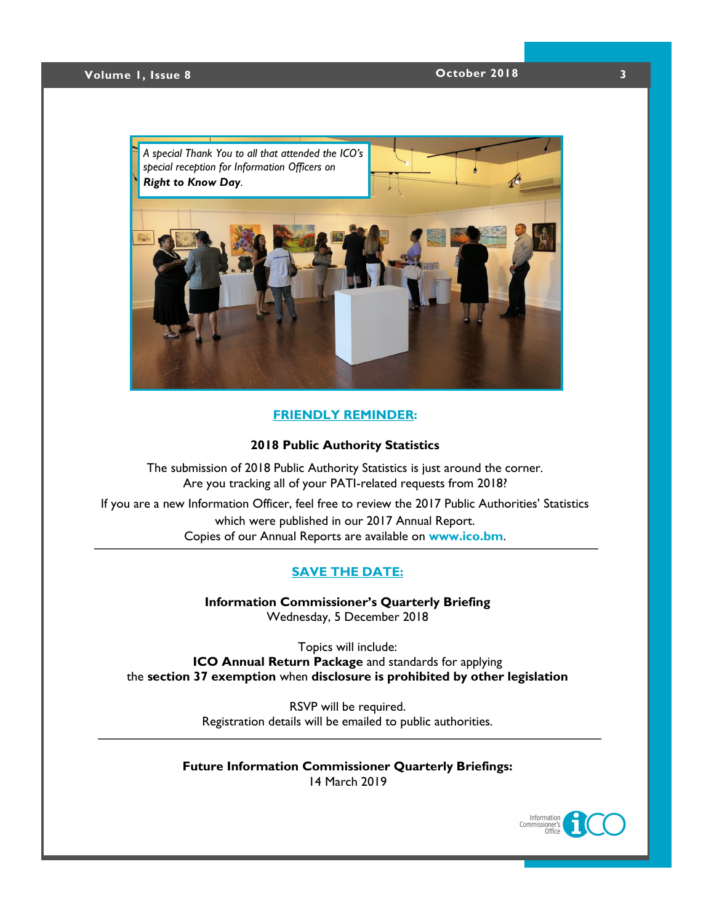## **Volume 1, Issue 8 October 2018 3**



#### **FRIENDLY REMINDER:**

#### **2018 Public Authority Statistics**

The submission of 2018 Public Authority Statistics is just around the corner. Are you tracking all of your PATI-related requests from 2018?

If you are a new Information Officer, feel free to review the 2017 Public Authorities' Statistics which were published in our 2017 Annual Report. Copies of our Annual Reports are available on **[www.ico.bm](https://www.ico.bm/annual-reports)**.

### **[SAVE THE DATE:](https://docs.wixstatic.com/ugd/5803dc_0273d553ea1042f7a58f66c338a2e273.pdf)**

**Information Commissioner's Quarterly Briefing** Wednesday, 5 December 2018

Topics will include: **ICO Annual Return Package** and standards for applying the **section 37 exemption** when **disclosure is prohibited by other legislation**

> RSVP will be required. Registration details will be emailed to public authorities.

**Future Information Commissioner Quarterly Briefings:** 14 March 2019

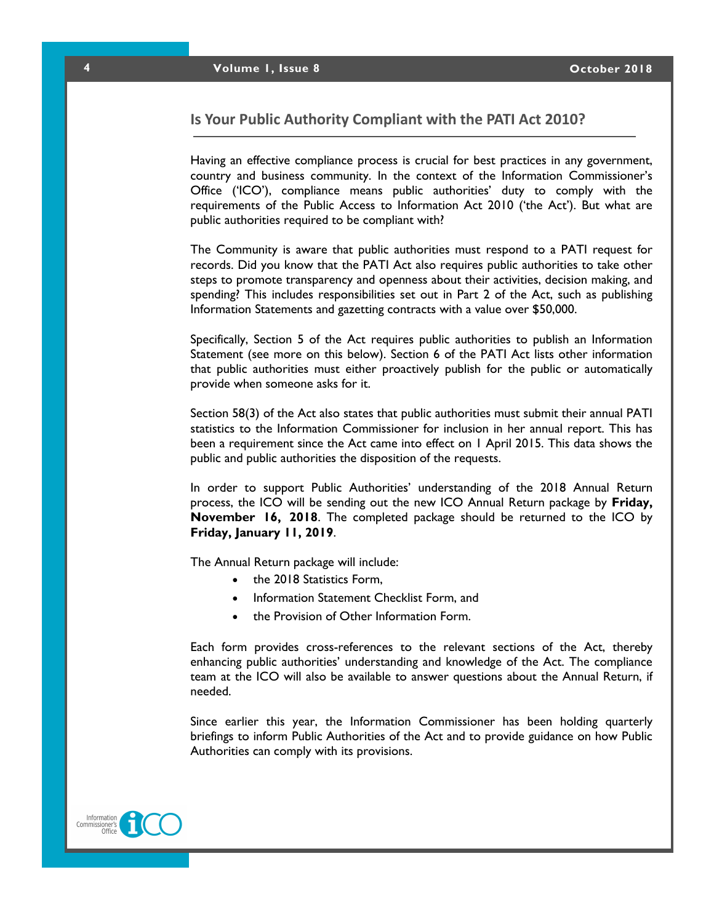#### **Is Your Public Authority Compliant with the PATI Act 2010?**

Having an effective compliance process is crucial for best practices in any government, country and business community. In the context of the Information Commissioner's Office ('ICO'), compliance means public authorities' duty to comply with the requirements of the Public Access to Information Act 2010 ('the Act'). But what are public authorities required to be compliant with?

The Community is aware that public authorities must respond to a PATI request for records. Did you know that the PATI Act also requires public authorities to take other steps to promote transparency and openness about their activities, decision making, and spending? This includes responsibilities set out in Part 2 of the Act, such as publishing Information Statements and gazetting contracts with a value over \$50,000.

Specifically, Section 5 of the Act requires public authorities to publish an Information Statement (see more on this below). Section 6 of the PATI Act lists other information that public authorities must either proactively publish for the public or automatically provide when someone asks for it.

Section 58(3) of the Act also states that public authorities must submit their annual PATI statistics to the Information Commissioner for inclusion in her annual report. This has been a requirement since the Act came into effect on 1 April 2015. This data shows the public and public authorities the disposition of the requests.

In order to support Public Authorities' understanding of the 2018 Annual Return process, the ICO will be sending out the new ICO Annual Return package by **Friday, November 16, 2018**. The completed package should be returned to the ICO by **Friday, January 11, 2019**.

The Annual Return package will include:

- the 2018 Statistics Form,
- Information Statement Checklist Form, and
- the Provision of Other Information Form.

Each form provides cross-references to the relevant sections of the Act, thereby enhancing public authorities' understanding and knowledge of the Act. The compliance team at the ICO will also be available to answer questions about the Annual Return, if needed.

Since earlier this year, the Information Commissioner has been holding quarterly briefings to inform Public Authorities of the Act and to provide guidance on how Public Authorities can comply with its provisions.